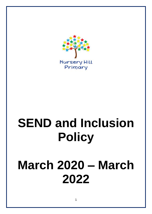

# **SEND and Inclusion Policy**

## **March 2020 – March 2022**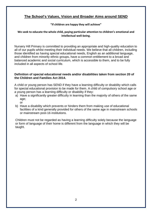## **The School's Values, Vision and Broader Aims around SEND**

## **"If children are happy they will achieve"**

## **We seek to educate the whole child, paying particular attention to children's emotional and intellectual well-being.**

Nursery Hill Primary is committed to providing an appropriate and high-quality education to all of our pupils whilst meeting their individual needs. We believe that all children, including those identified as having special educational needs, English as an additional language, and children from minority ethnic groups, have a common entitlement to a broad and balanced academic and social curriculum, which is accessible to them, and to be fully included in all aspects of school life.

## **Definition of special educational needs and/or disabilities taken from section 20 of the Children and Families Act 2014.**

A child or young person has SEND if they have a learning difficulty or disability which calls for special educational provision to be made for them. A child of compulsory school age or a young person has a learning difficulty or disability if they:

- a) Have a significantly greater difficulty in learning than the majority of others of the same age;
	- or
- b) Have a disability which prevents or hinders them from making use of educational facilities of a kind generally provided for others of the same age in mainstream schools or mainstream post-16 institutions.

Children must not be regarded as having a learning difficulty solely because the language or form of language of their home is different from the language in which they will be taught.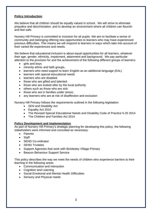## **Policy Introduction**

We believe that all children should be equally valued in school. We will strive to eliminate prejudice and discrimination, and to develop an environment where all children can flourish and feel safe.

Nursery Hill Primary is committed to inclusion for all pupils. We aim to facilitate a sense of community and belonging offering new opportunities to learners who may have experienced previous difficulties. This means we will respond to learners in ways which take into account of their varied life experiences and needs.

We believe that educational inclusion is about equal opportunities for all learners, whatever their age, gender, ethnicity, impairment, attainment and background. We pay particular attention to the provision for and the achievement of the following different groups of learners:

- girls and boys
- minority ethnic and faith groups,
- learners who need support to learn English as an additional language (EAL)
- learners with special educational needs
- learners who are disabled
- those who are gifted and talented
- those who are looked after by the local authority
- others such as those who are sick
- those who are in families under stress:
- any learners who are at risk of disaffection and exclusion

Nursery Hill Primary follows the requirements outlined in the following legislation:

- SEN and Disability Act
- Equality Act 2010
- The Revised Special Educational Needs and Disability Code of Practice 0-25 2014
- The Children and Families Act 2014

#### **Policy Development and Implementation**

As part of Nursery Hill Primary's strategic planning for developing this policy, the following stakeholders were informed and consulted as necessary:

- Parents
- **Staff**
- SEND Co-ordinator
- SEND Trustees
- Support Agencies that work with Bordesley Village Primary
- Beacon Behaviour Support Service

This policy describes the way we meet the needs of children who experience barriers to their learning in the following areas:

- Communication and interaction
- Cognition and Learning
- Social Emotional and Mental Health Difficulties
- Sensory and Physical needs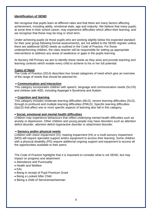## **Identification of SEND**

We recognise that pupils learn at different rates and that there are many factors affecting achievement, including ability, emotional state, age and maturity. We believe that many pupils, at some time in their school career, may experience difficulties which affect their learning, and we recognise that these may be long or short term.

Under-achieving pupils (ie those pupils who are working slightly below the expected standard for their year group following formal assessments), are not added to the SEND register unless there are additional SEND needs as outlined in the Code of Practice. For those underperforming children, the class teacher will be responsible for setting up appropriate interventions to address any areas of weakness or gaps in the pupils learning.

At Nursery Hill Primary we aim to identify these needs as they arise and provide teaching and learning contexts which enable every child to achieve to his or her full potential.

#### **Types of Need**

The Code of Practice (2014) describes four broad categories of need which give an overview of the range of needs that should be planned for.

#### • **Communication and Interaction**

This category incorporates children with speech, language and communication needs (SLCN) and children with ASD, including Asperger's Syndrome and Autism.

#### • **Cognition and learning**

This category includes moderate learning difficulties (MLD), severe learning difficulties (SLD), through to profound and multiple learning difficulties (PMLD). Specific learning difficulties (SpLD) that affect one or more specific aspects of learning also fall in this category.

#### • **Social, emotional and mental health difficulties**

Children may experience behaviours that reflect underlying mental health difficulties such as anxiety or depression. Other children and young people may have disorders such as attention deficit disorder, attention deficit hyperactive disorder or attachment disorder.

#### • **Sensory and/or physical needs**

Children with vision impairment (VI), hearing impairment (HI) or a multi-sensory impairment (MSI) will require specialist support and/or equipment to access their learning. Some children with a physical disability (PD) require additional ongoing support and equipment to access all the opportunities available to their peers.

The Code of Practice highlights that it is important to consider what is not SEND, but may impact on progress and attainment:

- Attendance and Punctuality
- Health and Welfare
- EAL
- Being in receipt of Pupil Premium Grant
- Being a Looked After Child
- Being a child of Serviceman/woman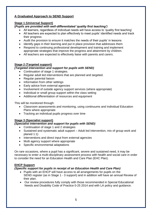## **A Graduated Approach to SEND Support**

## **Stage 1 (Universal Support)**

## **(***Pupils are provided with well-differentiated 'quality first teaching')*

- All learners, regardless of individual needs will have access to 'quality first teaching'
- All teachers are expected to plan effectively to meet pupils' identified needs and track their progress
- Audit the provision to ensure it matches the needs of their pupils' in lessons
- Identify gaps in their learning and put in place provision that addresses them
- Respond to continuing professional development and training and implement appropriate strategies that improve the progress and attainment by children.
- All teachers are expected to effectively liaise with parents and carers.

## **Stage 2 (Targeted support)**

## *(Targeted intervention and support for pupils with SEND)*

- Continuation of stage 1 strategies.
- Regular adult led interventions that are planned and targeted.
- Regular parental liaison
- Information from other settings
- Early advice from external agencies
- Involvement of outside agency support services (where appropriate)
- Individual or small group support within the class setting
- Additional differentiation of resources and equipment

This will be monitored through:

- Classroom assessments and monitoring, using continuums and Individual Education Plans where appropriate
- Tracking an individual pupils progress over time

## **Stage 3 (Specialist support)**

## *(Specialist intervention and support for pupils with SEND)*

- Continuation of stage 1 and 2 strategies
- Sustained and systematic adult support Adult led intervention, mix of group work and planed 1:1)
- Interventions and direct input from external agencies
- Multi agency support where appropriate
- Specific environmental adaptations

On rare occasions, where a pupil has a significant, severe and sustained need, it may be necessary to enter a multi-disciplinary assessment process with health and social care in order to consider the need for an Education Health and Care Plan (EHC Plan).

## **EHCP Support**

## *(Specific support for pupils in receipt of an Education Health and Care Plan)*

- Pupils with an EHCP will have access to all arrangements for pupils on the SEND register (as in Stage 1 - 3 support) and in addition will have an annual Review of their plan.
- Our review procedures fully comply with those recommended in Special Educational Needs and Disability Code of Practice 0-25 2014 and with LA policy and guidance.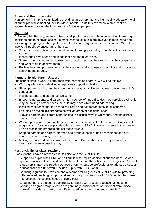## **Roles and Responsibility**

Nursery Hill Primary is committed to providing an appropriate and high quality education to all of our pupils whilst meeting their individual needs. To do this, we follow a child centred approach incorporating the input from the following people

## **The Child**

At Nursery Hill Primary, we recognise that all pupils have the right to be involved in making decisions and to exercise choice. In most lessons, all pupils are involved in monitoring and reviewing their progress through the use of individual targets and success criteria. We will fully involve all pupils by encouraging them to:-

- State their views about their education and learning including what they like/dislike about school.
- Identify their own needs and things that help them learn best.
- Share in their target setting across the curriculum so that they know what their targets are and what to do to achieve them.
- Review their own progress towards their targets and for those and monitor their success at achieving the targets.

## **Partnership with Parents/Carers**

The school aims to work in partnership with parents and carers. We will do this by:-

- Working effectively with all other agencies supporting children.
- Giving parents and carers the opportunity to play an active and valued role in their child's education.
- Making parents and carers feel welcome.
- Encouraging parents and carers to inform school of any difficulties they perceive their child may be having or other needs the child may have which need addressing.
- Instilling confidence that the school will listen and act appropriately to all concerns.
- Focusing on the child's strengths as well as areas of additional need.
- Allowing parents and carers opportunities to discuss ways in which they and the school can help their child.
- Where appropriate, agreeing targets for all pupils, in particular, those not making expected progress and, for some pupils identified as having SEND, involving parents in the drawingup and monitoring progress against these targets.
- Keeping parents and carers informed and giving support during assessment and any related decision-making process.
- Making parents and carers aware of the Parent Partnership services by providing all information in an accessible way.

## **Responsibility of Class Teachers**

Class teachers have a responsibility to liaise with the SENDCO to:-

- Support all pupils with SEND and all pupils who require additional support because of a special educational need and need to be included on the school's SEND register. Some of these pupils may require advice/support from an outside professional to address a special educational need (this would include pupils with EHC Plans).
- Securing high quality provision and outcomes for all groups of SEND pupils by providing differentiated teaching, support and learning opportunities for all SEND pupils which take into account the specific needs of every pupil.
- Ensuring there is adequate opportunity for pupils with special educational needs to working on agreed targets which are genuinely "additional to" or "different from" those normally provided as part of the differentiated curriculum offer and strategies*".*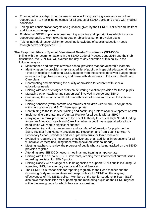- Ensuring effective deployment of resources including teaching assistants and other support staff - to maximise outcomes for all groups of SEND pupils and those with medical conditions.
- Taking into consideration targets and guidance given by the SENDCO or other adults from additional outside agencies.
- Enabling all SEND pupils to access learning activities and opportunities which focus on supporting pupils to work towards targets or objectives set on provision plans.
- Taking individual responsibility for acquiring knowledge of special education needs through active self-guided CPD

## **The Responsibilities of Special Educational Needs Co-ordinator (SENDCO)**

In line with the recommendations in the SEND Code of Practice June 2014 and their job description, the SENDCO will oversee the day-to-day operation of this policy in the following ways:-

- Maintenance and analysis of whole-school provision map for vulnerable learners
- Identifying on the provision map a staged list of pupils with special educational needs –those in receipt of additional SEND support from the schools devolved budget, those in receipt of High Needs funding and those with statements of Education Health and Care plans
- Coordinating and monitoring the quality of provision for children with special educational needs
- Liaising with and advising teachers on delivering excellent provision for these pupils
- Managing other teaching and support staff involved in supporting SEND
- Overseeing the records on all children with Disabilities and/or Special Educational **Needs**
- Liaising sensitively with parents and families of children with SEND, in conjunction with class teachers and SLT where appropriate
- Contributing to the in-service training and continuing professional development of staff
- Implementing a programme of Annual Review for all pupils with an EHCP.
- Carrying out referral procedures to the Local Authority to request High Needs funding and/or an Education Health and Care Plan when a pupil has a special educational need which will require significant support.
- Overseeing transition arrangements and transfer of information for pupils on the SEND register from Nursery providers into Reception and from Year 6 to Year 7, Secondary School providers and for pupils who arrive or leave mid-year.
- Evaluating regularly the impact and effectiveness of all additional interventions for all vulnerable learners (including those with special educational needs).
- Meeting teachers to review the progress of pupils who are being tracked on the SEND provision register.
- Attending area SENDCO network meetings and training as appropriate.
- Liaising with the school's SEND Governors, keeping them informed of current issues regarding provision for SEND pupils.
- Liaising closely with a range of outside agencies to support SEND pupils including LA agencies, NHS, the voluntary sector and Social Services.
- The SENDCO is responsible for reporting regularly to the Head teacher and the Governing Body representatives with responsibility for SEND on the ongoing effectiveness of this SEND policy. Members of the Senior Leadership Team (SLT) also have responsibilities for supporting and monitoring pupils on the SEND register within the year groups for which they are responsible.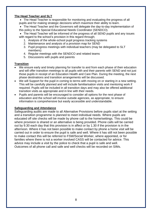## **The Head Teacher and SLT**

• The Head Teacher is responsible for monitoring and evaluating the progress of all pupils and for making strategic decisions which maximize their ability to learn.

• The Head Teacher and the Governors will delegate the day-to-day implementation of this policy to the Special Educational Needs Coordinator (SENDCO).

• The Head Teacher will be informed of the progress of all SEND pupils and any issues with regard to the school's provision in this regard through;

- 1. Analysis of the whole-school pupil progress tracking systems
- 2. Maintenance and analysis of a provision map for SEND
- 3. Pupil progress meetings with individual teachers (may be delegated to SLT members)
- 4. Regular meetings with the SENDCO and related teams
- 5. Discussions with pupils and parents

## **Transition**

- We ensure early and timely planning for transfer to and from each phase of their education and will offer transition meetings to all pupils with and their parents with SEND and not just those pupils in receipt of an Education Health and Care Plan. During the meeting, the next phase destinations and transition arrangements will be discussed.
- We will Support for the pupil in coming to terms with moving on or starting in a new setting. This will be carefully planned and will include familiarisation visits and mentoring work if required. Pupils will be included in all transition days and may also be offered additional transition visits as appropriate and in line with their needs.
- Pupils and parents will be encouraged to consider all options for the next phase of education and the school will involve outside agencies, as appropriate, to ensure information is comprehensive but easily accessible and understandable.

#### **Safeguarding and Attendance**

Safeguarding audits are made to all Alternative Provisions before pupils start at the setting and a transition programme is planned to meet individual needs. Where pupils are educated off site checks will be made by phone call to the home/settings. This could be where provision is shared or an alternative is being provided. Phone calls will be carried out by 9.30 each day that this provision is in affect or by 1.30 if the provision is in the afternoon. Where it has not been possible to make contact by phone a home visit will be carried out in order to ensure the pupil is safe and well. Where it has still not been possible to make contact this will be referred to FSW/Social Worker, where appointed, or for families where there is not a worker involved CASS will be contacted for advice. This advice may include a visit by the police to check that a pupil is safe and well. Outcomes of all phone call and safe and well checks will be recorded on SIMs.